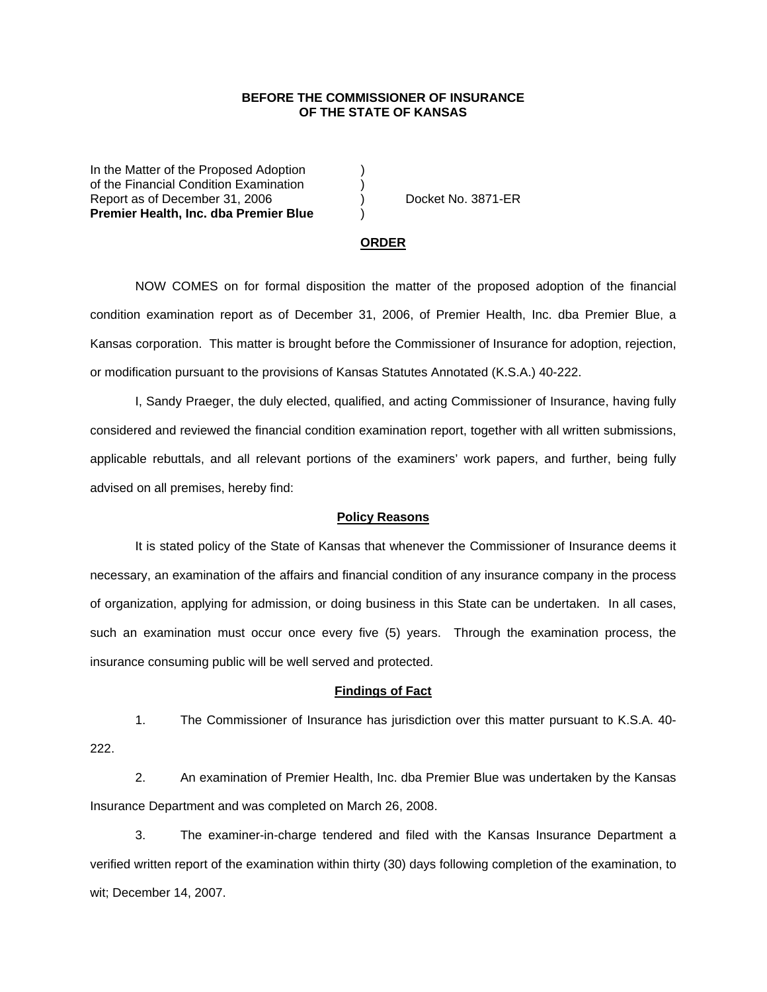## **BEFORE THE COMMISSIONER OF INSURANCE OF THE STATE OF KANSAS**

In the Matter of the Proposed Adoption of the Financial Condition Examination ) Report as of December 31, 2006 (a) Docket No. 3871-ER **Premier Health, Inc. dba Premier Blue** )

#### **ORDER**

 NOW COMES on for formal disposition the matter of the proposed adoption of the financial condition examination report as of December 31, 2006, of Premier Health, Inc. dba Premier Blue, a Kansas corporation. This matter is brought before the Commissioner of Insurance for adoption, rejection, or modification pursuant to the provisions of Kansas Statutes Annotated (K.S.A.) 40-222.

 I, Sandy Praeger, the duly elected, qualified, and acting Commissioner of Insurance, having fully considered and reviewed the financial condition examination report, together with all written submissions, applicable rebuttals, and all relevant portions of the examiners' work papers, and further, being fully advised on all premises, hereby find:

### **Policy Reasons**

 It is stated policy of the State of Kansas that whenever the Commissioner of Insurance deems it necessary, an examination of the affairs and financial condition of any insurance company in the process of organization, applying for admission, or doing business in this State can be undertaken. In all cases, such an examination must occur once every five (5) years. Through the examination process, the insurance consuming public will be well served and protected.

#### **Findings of Fact**

 1. The Commissioner of Insurance has jurisdiction over this matter pursuant to K.S.A. 40- 222.

 2. An examination of Premier Health, Inc. dba Premier Blue was undertaken by the Kansas Insurance Department and was completed on March 26, 2008.

 3. The examiner-in-charge tendered and filed with the Kansas Insurance Department a verified written report of the examination within thirty (30) days following completion of the examination, to wit; December 14, 2007.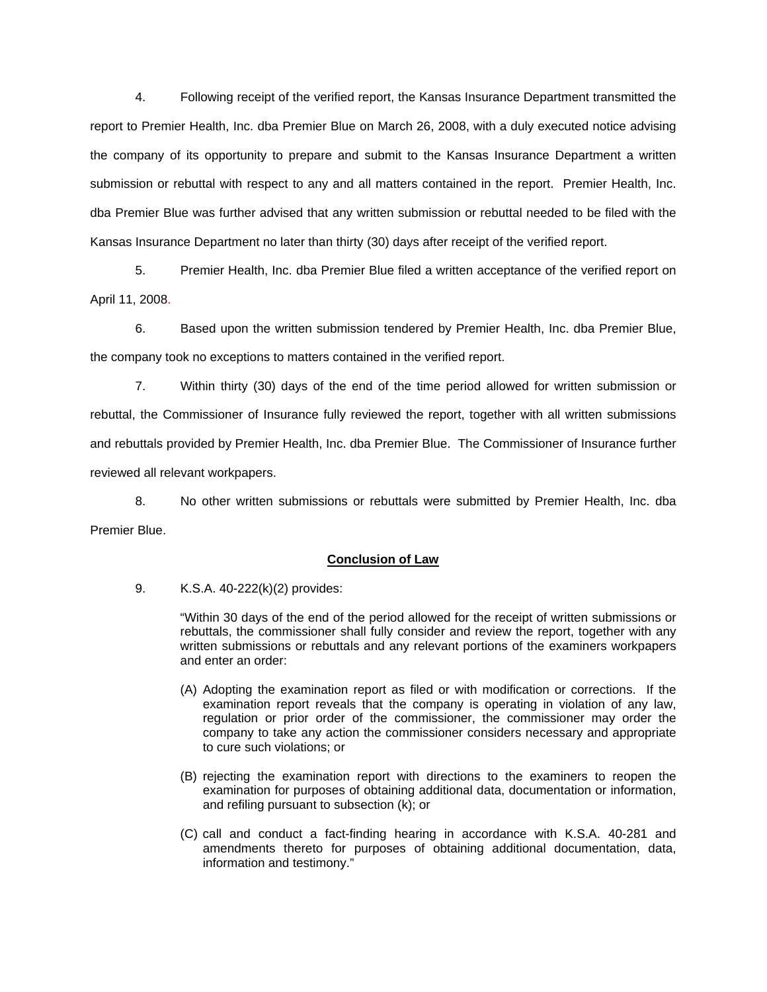4. Following receipt of the verified report, the Kansas Insurance Department transmitted the report to Premier Health, Inc. dba Premier Blue on March 26, 2008, with a duly executed notice advising the company of its opportunity to prepare and submit to the Kansas Insurance Department a written submission or rebuttal with respect to any and all matters contained in the report. Premier Health, Inc. dba Premier Blue was further advised that any written submission or rebuttal needed to be filed with the Kansas Insurance Department no later than thirty (30) days after receipt of the verified report.

 5. Premier Health, Inc. dba Premier Blue filed a written acceptance of the verified report on April 11, 2008.

6. Based upon the written submission tendered by Premier Health, Inc. dba Premier Blue, the company took no exceptions to matters contained in the verified report.

 7. Within thirty (30) days of the end of the time period allowed for written submission or rebuttal, the Commissioner of Insurance fully reviewed the report, together with all written submissions and rebuttals provided by Premier Health, Inc. dba Premier Blue. The Commissioner of Insurance further reviewed all relevant workpapers.

 8. No other written submissions or rebuttals were submitted by Premier Health, Inc. dba Premier Blue.

## **Conclusion of Law**

9. K.S.A. 40-222(k)(2) provides:

"Within 30 days of the end of the period allowed for the receipt of written submissions or rebuttals, the commissioner shall fully consider and review the report, together with any written submissions or rebuttals and any relevant portions of the examiners workpapers and enter an order:

- (A) Adopting the examination report as filed or with modification or corrections. If the examination report reveals that the company is operating in violation of any law, regulation or prior order of the commissioner, the commissioner may order the company to take any action the commissioner considers necessary and appropriate to cure such violations; or
- (B) rejecting the examination report with directions to the examiners to reopen the examination for purposes of obtaining additional data, documentation or information, and refiling pursuant to subsection (k); or
- (C) call and conduct a fact-finding hearing in accordance with K.S.A. 40-281 and amendments thereto for purposes of obtaining additional documentation, data, information and testimony."